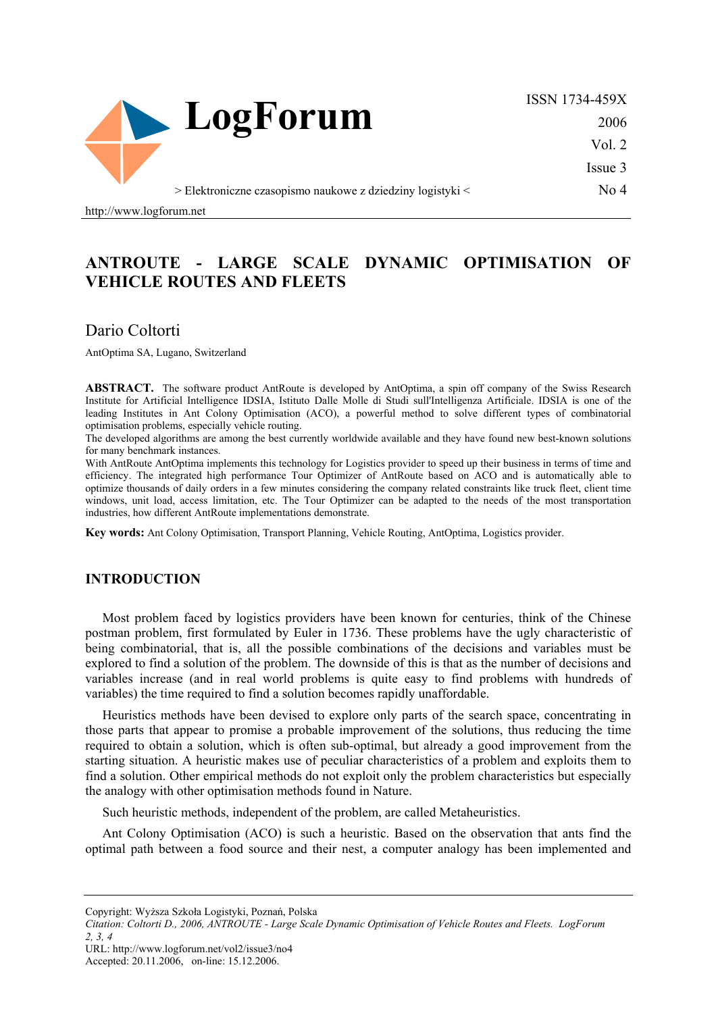

ISSN 1734-459X 2006 Vol. 2 Issue 3

No 4

> Elektroniczne czasopismo naukowe z dziedziny logistyki <

http://www.logforum.net

## **ANTROUTE - LARGE SCALE DYNAMIC OPTIMISATION OF VEHICLE ROUTES AND FLEETS**

Dario Coltorti

AntOptima SA, Lugano, Switzerland

ABSTRACT. The software product AntRoute is developed by AntOptima, a spin off company of the Swiss Research Institute for Artificial Intelligence IDSIA, Istituto Dalle Molle di Studi sull'Intelligenza Artificiale. IDSIA is one of the leading Institutes in Ant Colony Optimisation (ACO), a powerful method to solve different types of combinatorial optimisation problems, especially vehicle routing.

The developed algorithms are among the best currently worldwide available and they have found new best-known solutions for many benchmark instances.

With AntRoute AntOptima implements this technology for Logistics provider to speed up their business in terms of time and efficiency. The integrated high performance Tour Optimizer of AntRoute based on ACO and is automatically able to optimize thousands of daily orders in a few minutes considering the company related constraints like truck fleet, client time windows, unit load, access limitation, etc. The Tour Optimizer can be adapted to the needs of the most transportation industries, how different AntRoute implementations demonstrate.

**Key words:** Ant Colony Optimisation, Transport Planning, Vehicle Routing, AntOptima, Logistics provider.

#### **INTRODUCTION**

Most problem faced by logistics providers have been known for centuries, think of the Chinese postman problem, first formulated by Euler in 1736. These problems have the ugly characteristic of being combinatorial, that is, all the possible combinations of the decisions and variables must be explored to find a solution of the problem. The downside of this is that as the number of decisions and variables increase (and in real world problems is quite easy to find problems with hundreds of variables) the time required to find a solution becomes rapidly unaffordable.

Heuristics methods have been devised to explore only parts of the search space, concentrating in those parts that appear to promise a probable improvement of the solutions, thus reducing the time required to obtain a solution, which is often sub-optimal, but already a good improvement from the starting situation. A heuristic makes use of peculiar characteristics of a problem and exploits them to find a solution. Other empirical methods do not exploit only the problem characteristics but especially the analogy with other optimisation methods found in Nature.

Such heuristic methods, independent of the problem, are called Metaheuristics.

Ant Colony Optimisation (ACO) is such a heuristic. Based on the observation that ants find the optimal path between a food source and their nest, a computer analogy has been implemented and

Copyright: Wyższa Szkoła Logistyki, Poznań, Polska

URL: http://www.logforum.net/vol2/issue3/no4

Accepted: 20.11.2006, on-line: 15.12.2006.

*Citation: Coltorti D., 2006, ANTROUTE - Large Scale Dynamic Optimisation of Vehicle Routes and Fleets. LogForum 2, 3, 4*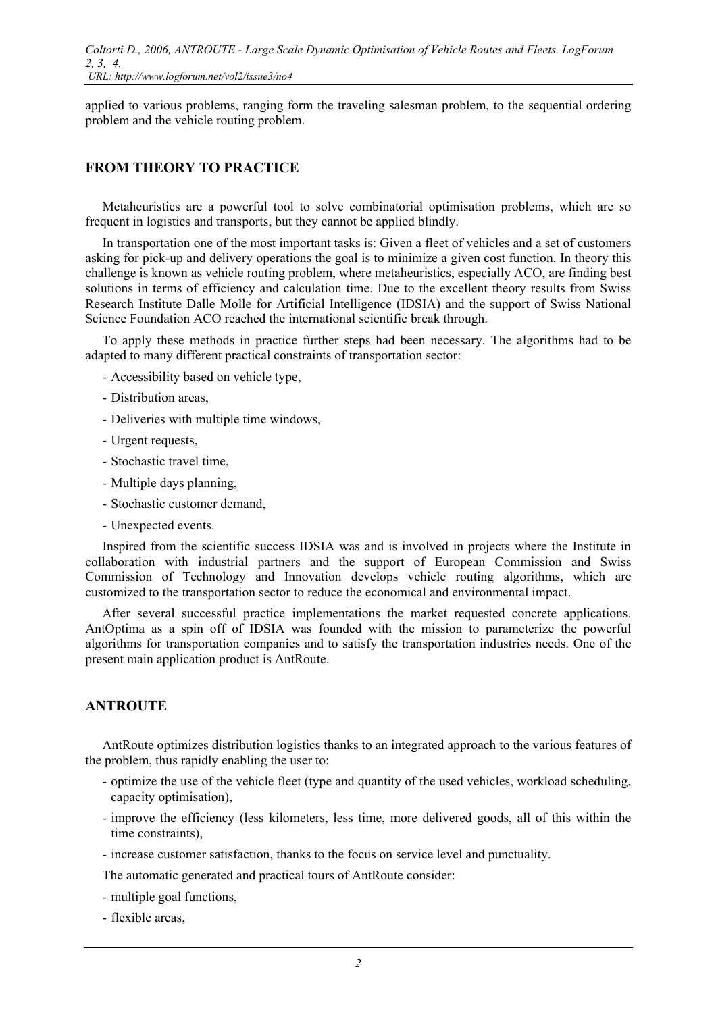applied to various problems, ranging form the traveling salesman problem, to the sequential ordering problem and the vehicle routing problem.

## **FROM THEORY TO PRACTICE**

Metaheuristics are a powerful tool to solve combinatorial optimisation problems, which are so frequent in logistics and transports, but they cannot be applied blindly.

In transportation one of the most important tasks is: Given a fleet of vehicles and a set of customers asking for pick-up and delivery operations the goal is to minimize a given cost function. In theory this challenge is known as vehicle routing problem, where metaheuristics, especially ACO, are finding best solutions in terms of efficiency and calculation time. Due to the excellent theory results from Swiss Research Institute Dalle Molle for Artificial Intelligence (IDSIA) and the support of Swiss National Science Foundation ACO reached the international scientific break through.

To apply these methods in practice further steps had been necessary. The algorithms had to be adapted to many different practical constraints of transportation sector:

- Accessibility based on vehicle type,
- Distribution areas,
- Deliveries with multiple time windows,
- Urgent requests,
- Stochastic travel time,
- Multiple days planning,
- Stochastic customer demand,
- Unexpected events.

Inspired from the scientific success IDSIA was and is involved in projects where the Institute in collaboration with industrial partners and the support of European Commission and Swiss Commission of Technology and Innovation develops vehicle routing algorithms, which are customized to the transportation sector to reduce the economical and environmental impact.

After several successful practice implementations the market requested concrete applications. AntOptima as a spin off of IDSIA was founded with the mission to parameterize the powerful algorithms for transportation companies and to satisfy the transportation industries needs. One of the present main application product is AntRoute.

### **ANTROUTE**

AntRoute optimizes distribution logistics thanks to an integrated approach to the various features of the problem, thus rapidly enabling the user to:

- optimize the use of the vehicle fleet (type and quantity of the used vehicles, workload scheduling, capacity optimisation),
- improve the efficiency (less kilometers, less time, more delivered goods, all of this within the time constraints),
- increase customer satisfaction, thanks to the focus on service level and punctuality.

The automatic generated and practical tours of AntRoute consider:

- multiple goal functions,
- flexible areas,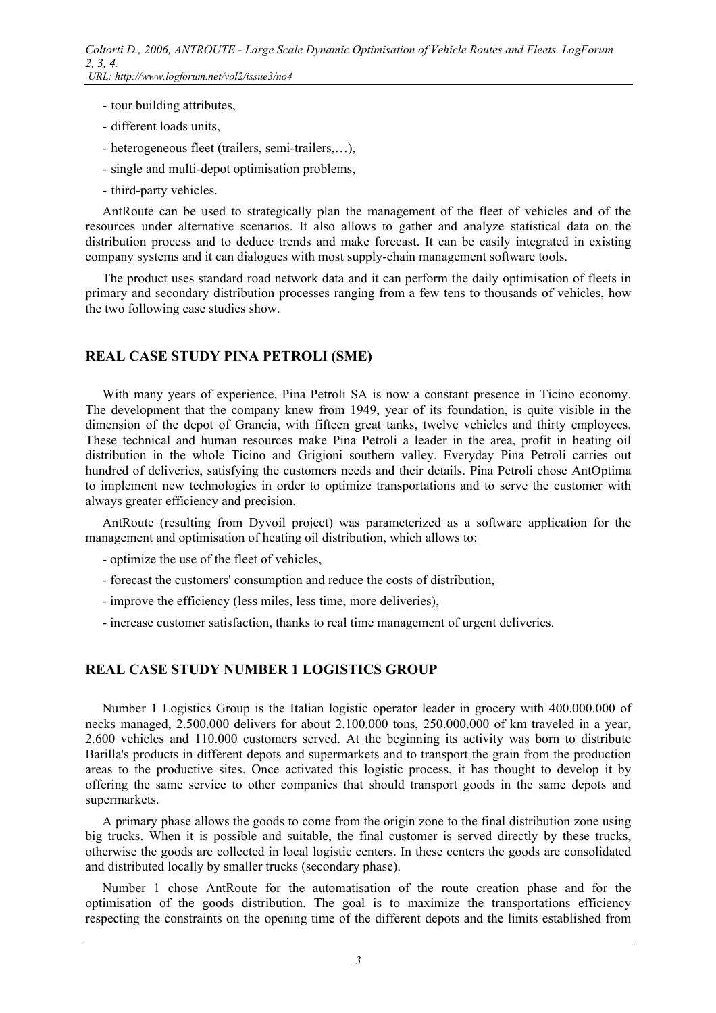- tour building attributes,
- different loads units,
- heterogeneous fleet (trailers, semi-trailers,…),
- single and multi-depot optimisation problems,
- third-party vehicles.

AntRoute can be used to strategically plan the management of the fleet of vehicles and of the resources under alternative scenarios. It also allows to gather and analyze statistical data on the distribution process and to deduce trends and make forecast. It can be easily integrated in existing company systems and it can dialogues with most supply-chain management software tools.

The product uses standard road network data and it can perform the daily optimisation of fleets in primary and secondary distribution processes ranging from a few tens to thousands of vehicles, how the two following case studies show.

## **REAL CASE STUDY PINA PETROLI (SME)**

With many years of experience. Pina Petroli SA is now a constant presence in Ticino economy. The development that the company knew from 1949, year of its foundation, is quite visible in the dimension of the depot of Grancia, with fifteen great tanks, twelve vehicles and thirty employees. These technical and human resources make Pina Petroli a leader in the area, profit in heating oil distribution in the whole Ticino and Grigioni southern valley. Everyday Pina Petroli carries out hundred of deliveries, satisfying the customers needs and their details. Pina Petroli chose AntOptima to implement new technologies in order to optimize transportations and to serve the customer with always greater efficiency and precision.

AntRoute (resulting from Dyvoil project) was parameterized as a software application for the management and optimisation of heating oil distribution, which allows to:

- optimize the use of the fleet of vehicles,
- forecast the customers' consumption and reduce the costs of distribution,
- improve the efficiency (less miles, less time, more deliveries),
- increase customer satisfaction, thanks to real time management of urgent deliveries.

## **REAL CASE STUDY NUMBER 1 LOGISTICS GROUP**

Number 1 Logistics Group is the Italian logistic operator leader in grocery with 400.000.000 of necks managed, 2.500.000 delivers for about 2.100.000 tons, 250.000.000 of km traveled in a year, 2.600 vehicles and 110.000 customers served. At the beginning its activity was born to distribute Barilla's products in different depots and supermarkets and to transport the grain from the production areas to the productive sites. Once activated this logistic process, it has thought to develop it by offering the same service to other companies that should transport goods in the same depots and supermarkets.

A primary phase allows the goods to come from the origin zone to the final distribution zone using big trucks. When it is possible and suitable, the final customer is served directly by these trucks, otherwise the goods are collected in local logistic centers. In these centers the goods are consolidated and distributed locally by smaller trucks (secondary phase).

Number 1 chose AntRoute for the automatisation of the route creation phase and for the optimisation of the goods distribution. The goal is to maximize the transportations efficiency respecting the constraints on the opening time of the different depots and the limits established from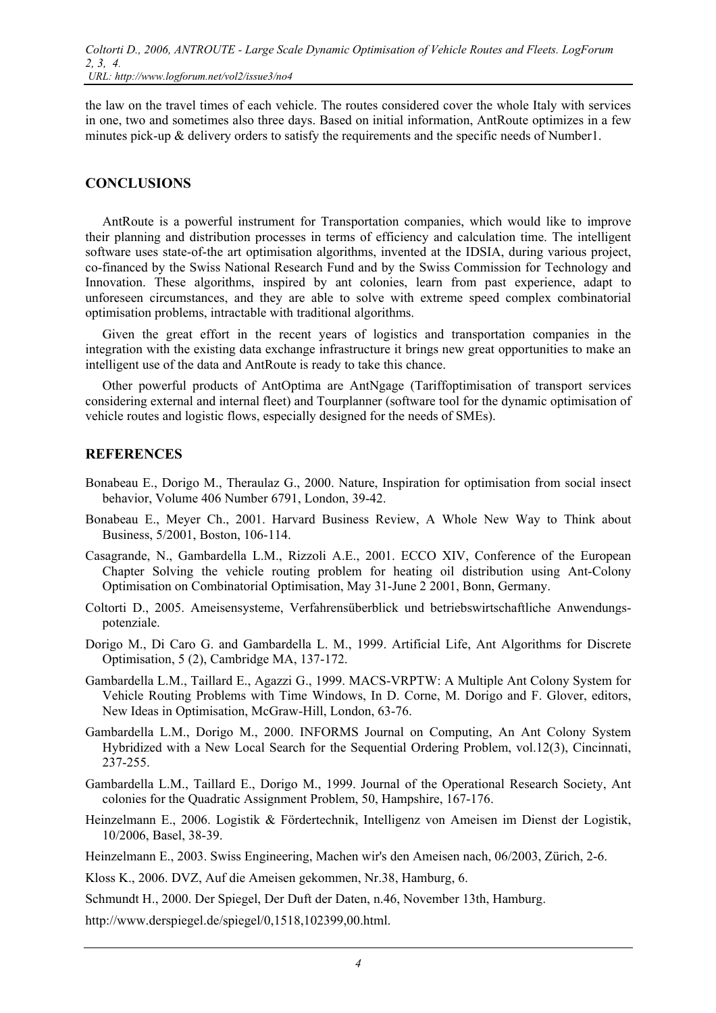the law on the travel times of each vehicle. The routes considered cover the whole Italy with services in one, two and sometimes also three days. Based on initial information, AntRoute optimizes in a few minutes pick-up & delivery orders to satisfy the requirements and the specific needs of Number1.

#### **CONCLUSIONS**

AntRoute is a powerful instrument for Transportation companies, which would like to improve their planning and distribution processes in terms of efficiency and calculation time. The intelligent software uses state-of-the art optimisation algorithms, invented at the IDSIA, during various project, co-financed by the Swiss National Research Fund and by the Swiss Commission for Technology and Innovation. These algorithms, inspired by ant colonies, learn from past experience, adapt to unforeseen circumstances, and they are able to solve with extreme speed complex combinatorial optimisation problems, intractable with traditional algorithms.

Given the great effort in the recent years of logistics and transportation companies in the integration with the existing data exchange infrastructure it brings new great opportunities to make an intelligent use of the data and AntRoute is ready to take this chance.

Other powerful products of AntOptima are AntNgage (Tariffoptimisation of transport services considering external and internal fleet) and Tourplanner (software tool for the dynamic optimisation of vehicle routes and logistic flows, especially designed for the needs of SMEs).

#### **REFERENCES**

- Bonabeau E., Dorigo M., Theraulaz G., 2000. Nature, Inspiration for optimisation from social insect behavior, Volume 406 Number 6791, London, 39-42.
- Bonabeau E., Meyer Ch., 2001. Harvard Business Review, A Whole New Way to Think about Business, 5/2001, Boston, 106-114.
- Casagrande, N., Gambardella L.M., Rizzoli A.E., 2001. ECCO XIV, Conference of the European Chapter Solving the vehicle routing problem for heating oil distribution using Ant-Colony Optimisation on Combinatorial Optimisation, May 31-June 2 2001, Bonn, Germany.
- Coltorti D., 2005. Ameisensysteme, Verfahrensüberblick und betriebswirtschaftliche Anwendungspotenziale.
- Dorigo M., Di Caro G. and Gambardella L. M., 1999. Artificial Life, Ant Algorithms for Discrete Optimisation, 5 (2), Cambridge MA, 137-172.
- Gambardella L.M., Taillard E., Agazzi G., 1999. MACS-VRPTW: A Multiple Ant Colony System for Vehicle Routing Problems with Time Windows, In D. Corne, M. Dorigo and F. Glover, editors, New Ideas in Optimisation, McGraw-Hill, London, 63-76.
- Gambardella L.M., Dorigo M., 2000. INFORMS Journal on Computing, An Ant Colony System Hybridized with a New Local Search for the Sequential Ordering Problem, vol.12(3), Cincinnati, 237-255.
- Gambardella L.M., Taillard E., Dorigo M., 1999. Journal of the Operational Research Society, Ant colonies for the Quadratic Assignment Problem, 50, Hampshire, 167-176.
- Heinzelmann E., 2006. Logistik & Fördertechnik, Intelligenz von Ameisen im Dienst der Logistik, 10/2006, Basel, 38-39.

Heinzelmann E., 2003. Swiss Engineering, Machen wir's den Ameisen nach, 06/2003, Zürich, 2-6.

Kloss K., 2006. DVZ, Auf die Ameisen gekommen, Nr.38, Hamburg, 6.

Schmundt H., 2000. Der Spiegel, Der Duft der Daten, n.46, November 13th, Hamburg.

http://www.derspiegel.de/spiegel/0,1518,102399,00.html.